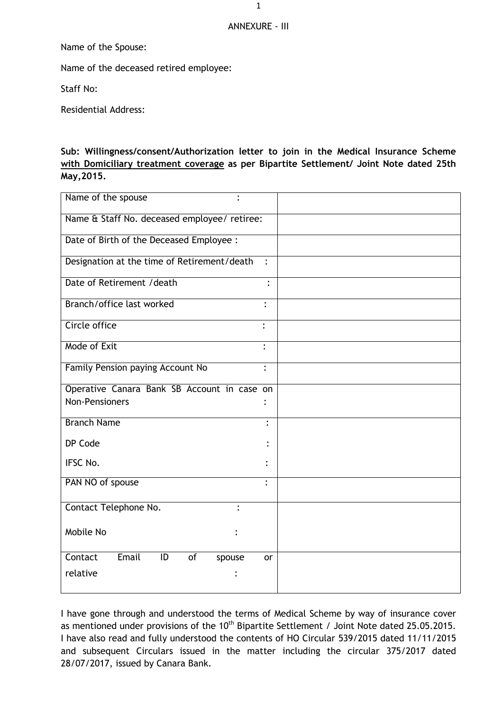## ANNEXURE - III

Name of the Spouse:

Name of the deceased retired employee:

Staff No:

Residential Address:

## **Sub: Willingness/consent/Authorization letter to join in the Medical Insurance Scheme with Domiciliary treatment coverage as per Bipartite Settlement/ Joint Note dated 25th May,2015.**

| Name of the spouse                                 |                |
|----------------------------------------------------|----------------|
| Name & Staff No. deceased employee/ retiree:       |                |
| Date of Birth of the Deceased Employee :           |                |
| Designation at the time of Retirement/death        | $\ddot{\cdot}$ |
| Date of Retirement / death                         |                |
| Branch/office last worked                          | $\ddot{\cdot}$ |
| Circle office                                      |                |
| Mode of Exit                                       |                |
| Family Pension paying Account No                   | $\ddot{\cdot}$ |
| Operative Canara Bank SB Account in case on        |                |
| <b>Non-Pensioners</b>                              |                |
| <b>Branch Name</b>                                 | $\ddot{\cdot}$ |
| DP Code                                            |                |
| IFSC No.                                           |                |
| PAN NO of spouse                                   | $\ddot{\cdot}$ |
| Contact Telephone No.                              |                |
| Mobile No                                          |                |
| Email<br>$\overline{1}$<br>Contact<br>of<br>spouse | or             |
| relative                                           |                |
|                                                    |                |

I have gone through and understood the terms of Medical Scheme by way of insurance cover as mentioned under provisions of the 10<sup>th</sup> Bipartite Settlement / Joint Note dated 25.05.2015. I have also read and fully understood the contents of HO Circular 539/2015 dated 11/11/2015 and subsequent Circulars issued in the matter including the circular 375/2017 dated 28/07/2017, issued by Canara Bank.